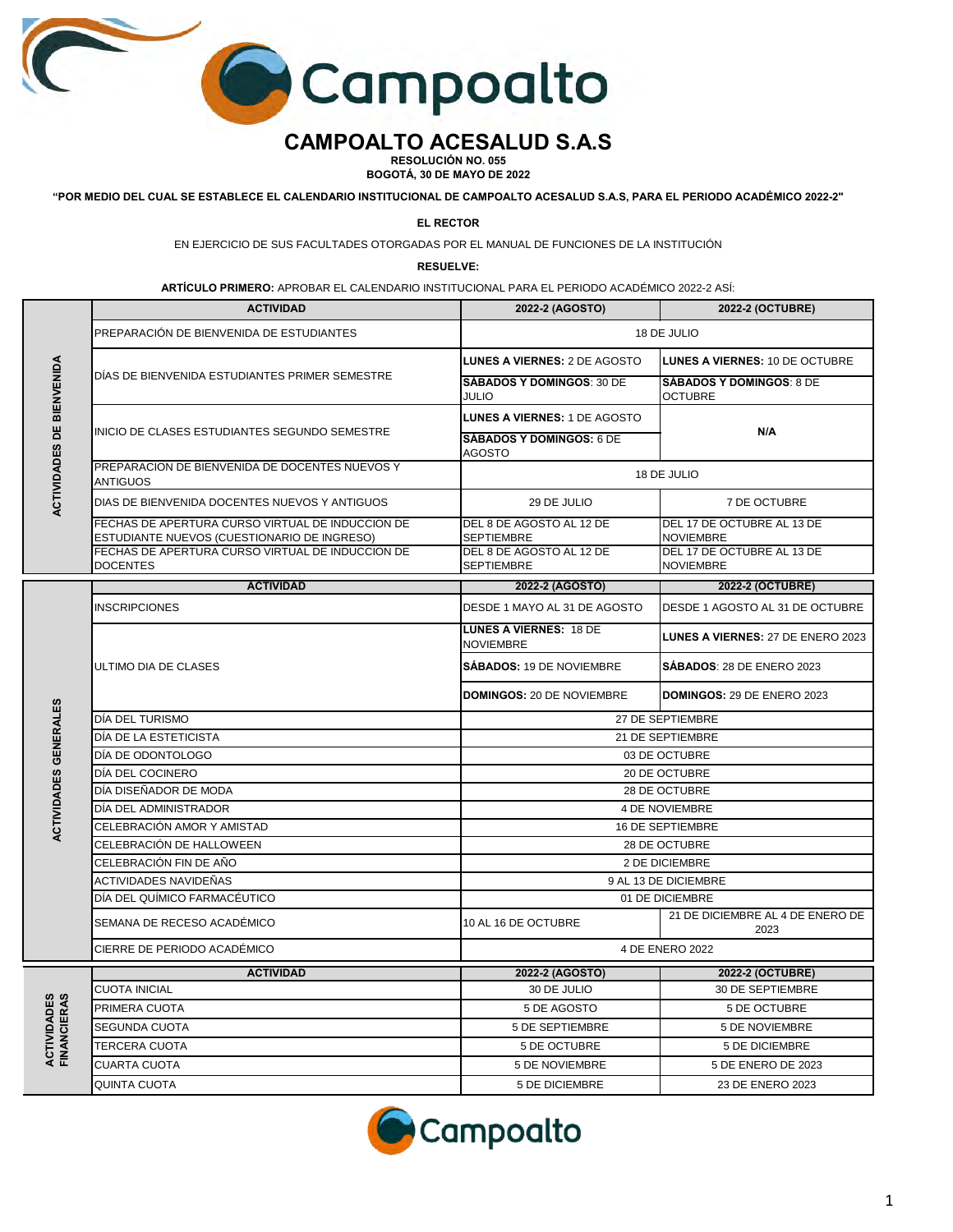

## **CAMPOALTO ACESALUD S.A.S**

**RESOLUCIÓN NO. 055 BOGOTÁ, 30 DE MAYO DE 2022**

**"POR MEDIO DEL CUAL SE ESTABLECE EL CALENDARIO INSTITUCIONAL DE CAMPOALTO ACESALUD S.A.S, PARA EL PERIODO ACADÉMICO 2022-2"**

**EL RECTOR**

EN EJERCICIO DE SUS FACULTADES OTORGADAS POR EL MANUAL DE FUNCIONES DE LA INSTITUCIÓN

**RESUELVE:**

**ARTÍCULO PRIMERO:** APROBAR EL CALENDARIO INSTITUCIONAL PARA EL PERIODO ACADÉMICO 2022-2 ASÍ:

|                                   | <b>ACTIVIDAD</b>                                                                                | 2022-2 (AGOSTO)                                                                         | 2022-2 (OCTUBRE)                                  |  |
|-----------------------------------|-------------------------------------------------------------------------------------------------|-----------------------------------------------------------------------------------------|---------------------------------------------------|--|
| ACTIVIDADES DE BIENVENIDA         | PREPARACIÓN DE BIENVENIDA DE ESTUDIANTES                                                        |                                                                                         | 18 DE JULIO                                       |  |
|                                   | DIAS DE BIENVENIDA ESTUDIANTES PRIMER SEMESTRE                                                  | LUNES A VIERNES: 2 DE AGOSTO                                                            | LUNES A VIERNES: 10 DE OCTUBRE                    |  |
|                                   |                                                                                                 | <b>SABADOS Y DOMINGOS: 30 DE</b><br>JULIO                                               | <b>SABADOS Y DOMINGOS: 8 DE</b><br><b>OCTUBRE</b> |  |
|                                   | INICIO DE CLASES ESTUDIANTES SEGUNDO SEMESTRE                                                   | <b>LUNES A VIERNES: 1 DE AGOSTO</b><br>N/A<br><b>SÁBADOS Y DOMINGOS: 6 DE</b><br>AGOSTO |                                                   |  |
|                                   |                                                                                                 |                                                                                         |                                                   |  |
|                                   | PREPARACION DE BIENVENIDA DE DOCENTES NUEVOS Y<br>ANTIGUOS                                      | 18 DE JULIO                                                                             |                                                   |  |
|                                   | DIAS DE BIENVENIDA DOCENTES NUEVOS Y ANTIGUOS                                                   | 29 DE JULIO                                                                             | 7 DE OCTUBRE                                      |  |
|                                   | FECHAS DE APERTURA CURSO VIRTUAL DE INDUCCION DE<br>ESTUDIANTE NUEVOS (CUESTIONARIO DE INGRESO) | DEL 8 DE AGOSTO AL 12 DE<br><b>SEPTIEMBRE</b>                                           | DEL 17 DE OCTUBRE AL 13 DE<br><b>NOVIEMBRE</b>    |  |
|                                   | FECHAS DE APERTURA CURSO VIRTUAL DE INDUCCION DE<br><b>DOCENTES</b>                             | DEL 8 DE AGOSTO AL 12 DE<br><b>SEPTIEMBRE</b>                                           | DEL 17 DE OCTUBRE AL 13 DE<br><b>NOVIEMBRE</b>    |  |
|                                   | <b>ACTIVIDAD</b>                                                                                | 2022-2 (AGOSTO)                                                                         | 2022-2 (OCTUBRE)                                  |  |
|                                   | <b>INSCRIPCIONES</b>                                                                            | DESDE 1 MAYO AL 31 DE AGOSTO                                                            | DESDE 1 AGOSTO AL 31 DE OCTUBRE                   |  |
|                                   | ULTIMO DIA DE CLASES                                                                            | <b>LUNES A VIERNES: 18 DE</b><br><b>NOVIEMBRE</b>                                       | LUNES A VIERNES: 27 DE ENERO 2023                 |  |
|                                   |                                                                                                 | SÁBADOS: 19 DE NOVIEMBRE                                                                | SÁBADOS: 28 DE ENERO 2023                         |  |
|                                   |                                                                                                 | <b>DOMINGOS: 20 DE NOVIEMBRE</b>                                                        | DOMINGOS: 29 DE ENERO 2023                        |  |
|                                   | DÍA DEL TURISMO                                                                                 | 27 DE SEPTIEMBRE                                                                        |                                                   |  |
| ACTIVIDADES GENERALES             | DÍA DE LA ESTETICISTA                                                                           | 21 DE SEPTIEMBRE                                                                        |                                                   |  |
|                                   | DÍA DE ODONTOLOGO                                                                               | 03 DE OCTUBRE                                                                           |                                                   |  |
|                                   | DÍA DEL COCINERO                                                                                | 20 DE OCTUBRE                                                                           |                                                   |  |
|                                   | DÍA DISEÑADOR DE MODA                                                                           | 28 DE OCTUBRE                                                                           |                                                   |  |
|                                   | DÍA DEL ADMINISTRADOR                                                                           | <b>4 DE NOVIEMBRE</b>                                                                   |                                                   |  |
|                                   | CELEBRACIÓN AMOR Y AMISTAD                                                                      | <b>16 DE SEPTIEMBRE</b>                                                                 |                                                   |  |
|                                   | CELEBRACIÓN DE HALLOWEEN                                                                        |                                                                                         | 28 DE OCTUBRE                                     |  |
|                                   | CELEBRACIÓN FIN DE AÑO                                                                          |                                                                                         | 2 DE DICIEMBRE                                    |  |
|                                   | ACTIVIDADES NAVIDEÑAS                                                                           |                                                                                         | 9 AL 13 DE DICIEMBRE                              |  |
|                                   | DÍA DEL QUÍMICO FARMACÉUTICO                                                                    | 01 DE DICIEMBRE                                                                         |                                                   |  |
|                                   | SEMANA DE RECESO ACADÉMICO                                                                      | 10 AL 16 DE OCTUBRE                                                                     | 21 DE DICIEMBRE AL 4 DE ENERO DE<br>2023          |  |
|                                   | CIERRE DE PERIODO ACADÉMICO                                                                     | 4 DE ENERO 2022                                                                         |                                                   |  |
|                                   | <b>ACTIVIDAD</b>                                                                                | 2022-2 (AGOSTO)                                                                         | 2022-2 (OCTUBRE)                                  |  |
|                                   | <b>CUOTA INICIAL</b>                                                                            | 30 DE JULIO                                                                             | 30 DE SEPTIEMBRE                                  |  |
|                                   | PRIMERA CUOTA                                                                                   | 5 DE AGOSTO                                                                             | 5 DE OCTUBRE                                      |  |
| <b>FINANCIERAS</b><br>ACTIVIDADES | <b>SEGUNDA CUOTA</b>                                                                            | 5 DE SEPTIEMBRE                                                                         | 5 DE NOVIEMBRE                                    |  |
|                                   | TERCERA CUOTA                                                                                   | 5 DE OCTUBRE                                                                            | 5 DE DICIEMBRE                                    |  |
|                                   | <b>CUARTA CUOTA</b>                                                                             | <b>5 DE NOVIEMBRE</b>                                                                   | 5 DE ENERO DE 2023                                |  |
|                                   | <b>QUINTA CUOTA</b>                                                                             | <b>5 DE DICIEMBRE</b>                                                                   | 23 DE ENERO 2023                                  |  |

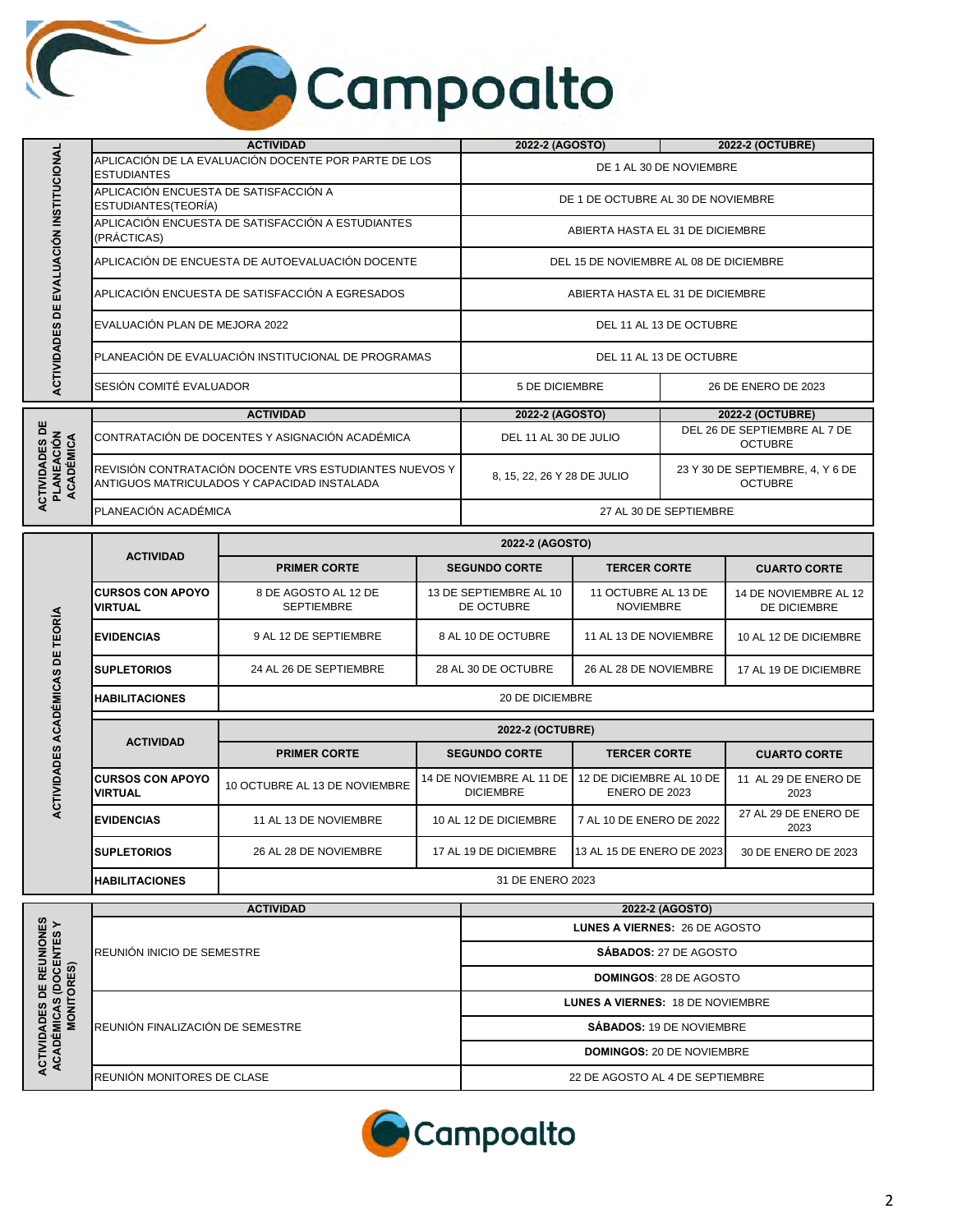## Campoalto

|                                                          |                                                                                                       | <b>ACTIVIDAD</b>                                     | 2022-2 (AGOSTO)                        | 2022-2 (OCTUBRE)                                   |
|----------------------------------------------------------|-------------------------------------------------------------------------------------------------------|------------------------------------------------------|----------------------------------------|----------------------------------------------------|
| EVALUACIÓN INSTITUCIONAL<br>빔<br><b>ACTIVIDADES</b>      | <b>ESTUDIANTES</b>                                                                                    | APLICACIÓN DE LA EVALUACIÓN DOCENTE POR PARTE DE LOS | DE 1 AL 30 DE NOVIEMBRE                |                                                    |
|                                                          | APLICACIÓN ENCUESTA DE SATISFACCIÓN A<br>ESTUDIANTES(TEORÍA)                                          |                                                      | DE 1 DE OCTUBRE AL 30 DE NOVIEMBRE     |                                                    |
|                                                          | (PRÁCTICAS)                                                                                           | APLICACIÓN ENCUESTA DE SATISFACCIÓN A ESTUDIANTES    | ABIERTA HASTA EL 31 DE DICIEMBRE       |                                                    |
|                                                          |                                                                                                       | APLICACIÓN DE ENCUESTA DE AUTOEVALUACIÓN DOCENTE     | DEL 15 DE NOVIEMBRE AL 08 DE DICIEMBRE |                                                    |
|                                                          |                                                                                                       | APLICACIÓN ENCUESTA DE SATISFACCIÓN A EGRESADOS      | ABIERTA HASTA EL 31 DE DICIEMBRE       |                                                    |
|                                                          | EVALUACIÓN PLAN DE MEJORA 2022                                                                        |                                                      | DEL 11 AL 13 DE OCTUBRE                |                                                    |
|                                                          | PLANEACIÓN DE EVALUACIÓN INSTITUCIONAL DE PROGRAMAS                                                   |                                                      | DEL 11 AL 13 DE OCTUBRE                |                                                    |
|                                                          | SESIÓN COMITÉ EVALUADOR                                                                               |                                                      | <b>5 DE DICIEMBRE</b>                  | 26 DE ENERO DE 2023                                |
|                                                          | <b>ACTIVIDAD</b>                                                                                      |                                                      | 2022-2 (AGOSTO)                        | 2022-2 (OCTUBRE)                                   |
| <b>ACTIVIDADES DE</b><br><b>PLANEACIÓN<br/>ACADÉMICA</b> | CONTRATACIÓN DE DOCENTES Y ASIGNACIÓN ACADÉMICA                                                       |                                                      | DEL 11 AL 30 DE JULIO                  | DEL 26 DE SEPTIEMBRE AL 7 DE<br><b>OCTUBRE</b>     |
|                                                          | REVISIÓN CONTRATACIÓN DOCENTE VRS ESTUDIANTES NUEVOS Y<br>ANTIGUOS MATRICULADOS Y CAPACIDAD INSTALADA |                                                      | 8, 15, 22, 26 Y 28 DE JULIO            | 23 Y 30 DE SEPTIEMBRE, 4, Y 6 DE<br><b>OCTUBRE</b> |
|                                                          | PLANEACIÓN ACADÉMICA                                                                                  |                                                      | 27 AL 30 DE SEPTIEMBRE                 |                                                    |
|                                                          | $A$ $C$ Th $B$ $A$ n                                                                                  | 2022-2 (AGOSTO)                                      |                                        |                                                    |

| <b>ACTIVIDAD</b>                          | 2022-2 (AGOSTO)                           |                                              |                                           |                                       |  |
|-------------------------------------------|-------------------------------------------|----------------------------------------------|-------------------------------------------|---------------------------------------|--|
|                                           | <b>PRIMER CORTE</b>                       | <b>SEGUNDO CORTE</b>                         | <b>TERCER CORTE</b>                       | <b>CUARTO CORTE</b>                   |  |
| <b>CURSOS CON APOYO</b><br><b>VIRTUAL</b> | 8 DE AGOSTO AL 12 DE<br><b>SEPTIEMBRE</b> | 13 DE SEPTIEMBRE AL 10<br>DE OCTUBRE         | 11 OCTUBRE AL 13 DE<br><b>NOVIEMBRE</b>   | 14 DE NOVIEMBRE AL 12<br>DE DICIEMBRE |  |
| <b>EVIDENCIAS</b>                         | 9 AL 12 DE SEPTIEMBRE                     | 8 AL 10 DE OCTUBRE                           | 11 AL 13 DE NOVIEMBRE                     | 10 AL 12 DE DICIEMBRE                 |  |
| <b>SUPLETORIOS</b>                        | 24 AL 26 DE SEPTIEMBRE                    | 28 AL 30 DE OCTUBRE                          | 26 AL 28 DE NOVIEMBRE                     | 17 AL 19 DE DICIEMBRE                 |  |
| <b>HABILITACIONES</b>                     | <b>20 DE DICIEMBRE</b>                    |                                              |                                           |                                       |  |
|                                           | <b>2022-2 (OCTUBRE)</b>                   |                                              |                                           |                                       |  |
| <b>ACTIVIDAD</b>                          | <b>PRIMER CORTE</b>                       | <b>SEGUNDO CORTE</b>                         | <b>TERCER CORTE</b>                       | <b>CUARTO CORTE</b>                   |  |
| <b>CURSOS CON APOYO</b><br><b>VIRTUAL</b> | 10 OCTUBRE AL 13 DE NOVIEMBRE             | 14 DE NOVIEMBRE AL 11 DE<br><b>DICIEMBRE</b> | 12 DE DICIEMBRE AL 10 DE<br>ENERO DE 2023 | 11 AL 29 DE ENERO DE<br>2023          |  |
| -----------                               | <b>AA AL AO BE NOVEMBBE</b>               | <b>AO AL AO BE BIOITMORE</b>                 | <b>ZAL JOBE ENERO BE 0000</b>             | 27 AL 29 DE ENERO DE                  |  |

| ACA         | <b>ACTIVIDAD</b>                           | <b>2022-2 (OCTUBRE)</b>       |                                              |                                           |                              |
|-------------|--------------------------------------------|-------------------------------|----------------------------------------------|-------------------------------------------|------------------------------|
|             |                                            | <b>PRIMER CORTE</b>           | <b>SEGUNDO CORTE</b>                         | <b>TERCER CORTE</b>                       | <b>CUARTO CORTE</b>          |
| ACTIVIDADES | <b>ICURSOS CON APOYO</b><br><b>VIRTUAL</b> | 10 OCTUBRE AL 13 DE NOVIEMBRE | 14 DE NOVIEMBRE AL 11 DE<br><b>DICIEMBRE</b> | 12 DE DICIEMBRE AL 10 DE<br>ENERO DE 2023 | 11 AL 29 DE ENERO DE<br>2023 |
|             | <b>EVIDENCIAS</b>                          | 11 AL 13 DE NOVIEMBRE         | 10 AL 12 DE DICIEMBRE                        | 7 AL 10 DE ENERO DE 2022                  | 27 AL 29 DE ENERO DE<br>2023 |
|             | <b>ISUPLETORIOS</b>                        | 26 AL 28 DE NOVIEMBRE         | 17 AL 19 DE DICIEMBRE                        | 13 AL 15 DE ENERO DE 2023                 | 30 DE ENERO DE 2023          |
|             | <b>HABILITACIONES</b>                      | 31 DE ENERO 2023              |                                              |                                           |                              |

|                                                                                | <b>ACTIVIDAD</b>                  | 2022-2 (AGOSTO)                         |  |
|--------------------------------------------------------------------------------|-----------------------------------|-----------------------------------------|--|
| <b>VIONES<br/>ITES Y</b><br><b>ES</b><br>뿜<br>ဖာ<br>c<br>٥<br><b>SO</b><br>ACJ |                                   | <b>LUNES A VIERNES: 26 DE AGOSTO</b>    |  |
|                                                                                | <b>REUNIÓN INICIO DE SEMESTRE</b> | <b>SÁBADOS: 27 DE AGOSTO</b>            |  |
|                                                                                |                                   | <b>DOMINGOS: 28 DE AGOSTO</b>           |  |
|                                                                                | REUNIÓN FINALIZACIÓN DE SEMESTRE  | <b>LUNES A VIERNES: 18 DE NOVIEMBRE</b> |  |
|                                                                                |                                   | <b>SÁBADOS: 19 DE NOVIEMBRE</b>         |  |
|                                                                                |                                   | <b>DOMINGOS: 20 DE NOVIEMBRE</b>        |  |
|                                                                                | REUNIÓN MONITORES DE CLASE        | 22 DE AGOSTO AL 4 DE SEPTIEMBRE         |  |